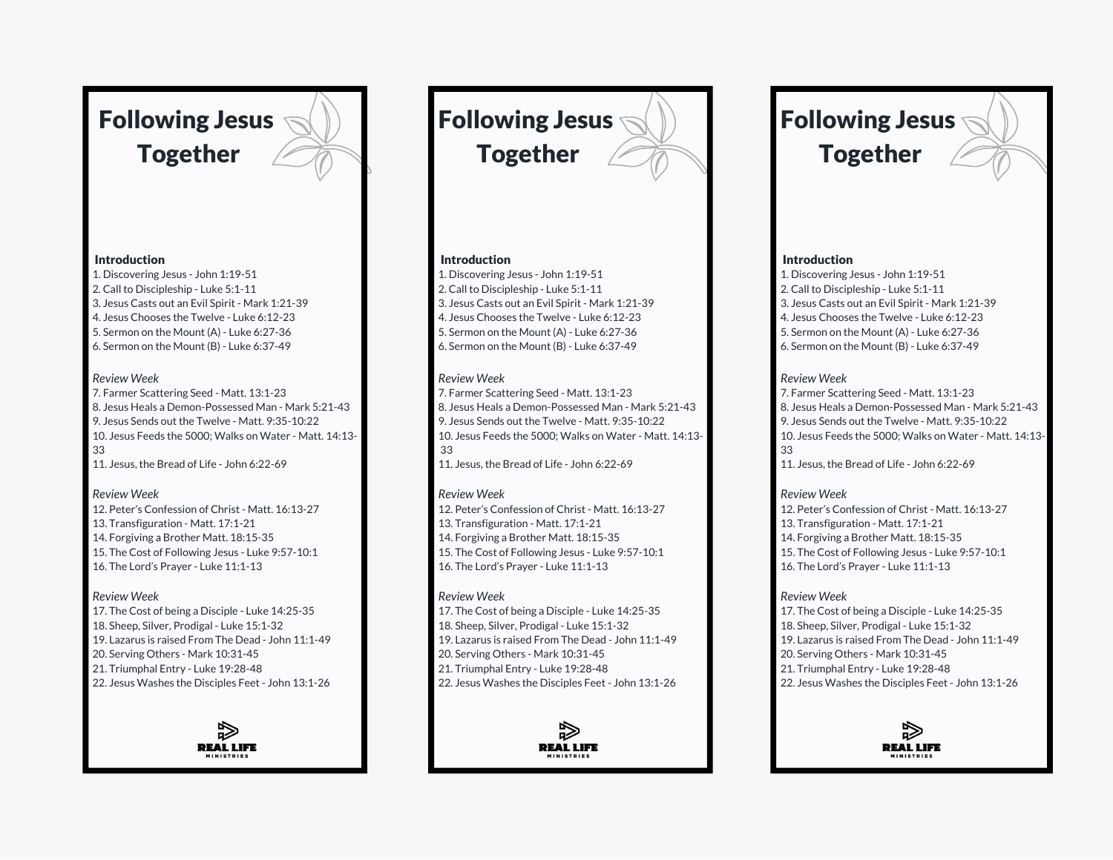# Following Jesus Together

## **Introduction**

1. Discovering Jesus - John 1:19-51 2. Call to Discipleship - Luke 5:1-11 3. Jesus Casts out an Evil Spirit - Mark 1:21-39 4. Jesus Chooses the Twelve - Luke 6:12-23 5. Sermon on the Mount (A) - Luke 6:27-36 6. Sermon on the Mount (B) - Luke 6:37-49

## *Review Week*

7. Farmer Scattering Seed - Matt. 13:1-23 8. Jesus Heals a Demon-Possessed Man - Mark 5:21-43 9. Jesus Sends out the Twelve - Matt. 9:35-10:22 10. Jesus Feeds the 5000; Walks on Water - Matt. 14:13- 33 11. Jesus, the Bread of Life - John 6:22-69

# *Review Week*

12. Peter's Confession of Christ - Matt. 16:13-27 13. Transfiguration - Matt. 17:1-21 14. Forgiving a Brother Matt. 18:15-35 15. The Cost of Following Jesus - Luke 9:57-10:1 16. The Lord's Prayer - Luke 11:1-13

# *Review Week*

17. The Cost of being a Disciple - Luke 14:25-35 18. Sheep, Silver, Prodigal - Luke 15:1-32 19. Lazarus is raised From The Dead - John 11:1-49 20. Serving Others - Mark 10:31-45 21. Triumphal Entry - Luke 19:28-48 22. Jesus Washes the Disciples Feet - John 13:1-26



Following Jesus Together

# Introduction

1. Discovering Jesus - John 1:19-51 2. Call to Discipleship - Luke 5:1-11 3. Jesus Casts out an Evil Spirit - Mark 1:21-39 4. Jesus Chooses the Twelve - Luke 6:12-23 5. Sermon on the Mount (A) - Luke 6:27-36 6. Sermon on the Mount (B) - Luke 6:37-49

# *Review Week*

7. Farmer Scattering Seed - Matt. 13:1-23 8. Jesus Heals a Demon-Possessed Man - Mark 5:21-43 9. Jesus Sends out the Twelve - Matt. 9:35-10:22 10. Jesus Feeds the 5000; Walks on Water - Matt. 14:13- 33

11. Jesus, the Bread of Life - John 6:22-69

# *Review Week*

12. Peter's Confession of Christ - Matt. 16:13-27 13. Transfiguration - Matt. 17:1-21 14. Forgiving a Brother Matt. 18:15-35 15. The Cost of Following Jesus - Luke 9:57-10:1 16. The Lord's Prayer - Luke 11:1-13

# *Review Week*

17. The Cost of being a Disciple - Luke 14:25-35 18. Sheep, Silver, Prodigal - Luke 15:1-32 19. Lazarus is raised From The Dead - John 11:1-49 20. Serving Others - Mark 10:31-45 21. Triumphal Entry - Luke 19:28-48 22. Jesus Washes the Disciples Feet - John 13:1-26



# Following Jesus Together

# Introduction

1. Discovering Jesus - John 1:19-51 2. Call to Discipleship - Luke 5:1-11 3. Jesus Casts out an Evil Spirit - Mark 1:21-39 4. Jesus Chooses the Twelve - Luke 6:12-23 5. Sermon on the Mount (A) - Luke 6:27-36 6. Sermon on the Mount (B) - Luke 6:37-49

# *Review Week*

- 7. Farmer Scattering Seed Matt. 13:1-23 8. Jesus Heals a Demon-Possessed Man - Mark 5:21-43 9. Jesus Sends out the Twelve - Matt. 9:35-10:22 10. Jesus Feeds the 5000; Walks on Water - Matt. 14:13- 33
- 11. Jesus, the Bread of Life John 6:22-69

# *Review Week*

12. Peter's Confession of Christ - Matt. 16:13-27 13. Transfiguration - Matt. 17:1-21 14. Forgiving a Brother Matt. 18:15-35 15. The Cost of Following Jesus - Luke 9:57-10:1 16. The Lord's Prayer - Luke 11:1-13

# *Review Week*

17. The Cost of being a Disciple - Luke 14:25-35 18. Sheep, Silver, Prodigal - Luke 15:1-32 19. Lazarus is raised From The Dead - John 11:1-49 20. Serving Others - Mark 10:31-45 21. Triumphal Entry - Luke 19:28-48 22. Jesus Washes the Disciples Feet - John 13:1-26